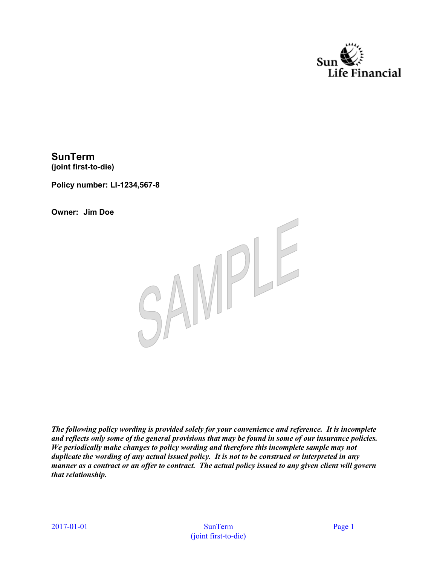

**SunTerm (joint first-to-die)**

**Policy number: LI-1234,567-8**

**Owner: Jim Doe**



*The following policy wording is provided solely for your convenience and reference. It is incomplete and reflects only some of the general provisions that may be found in some of our insurance policies. We periodically make changes to policy wording and therefore this incomplete sample may not duplicate the wording of any actual issued policy. It is not to be construed or interpreted in any manner as a contract or an offer to contract. The actual policy issued to any given client will govern that relationship.*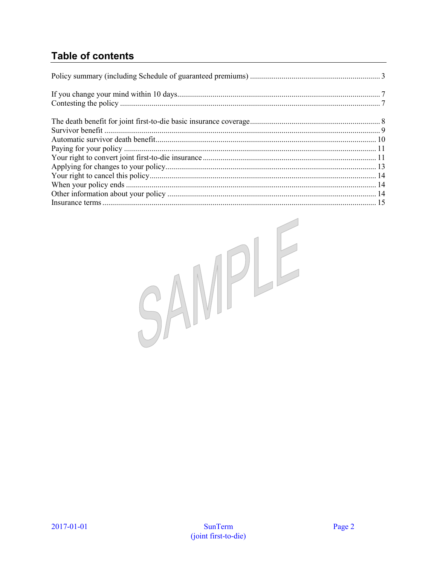### **Table of contents**

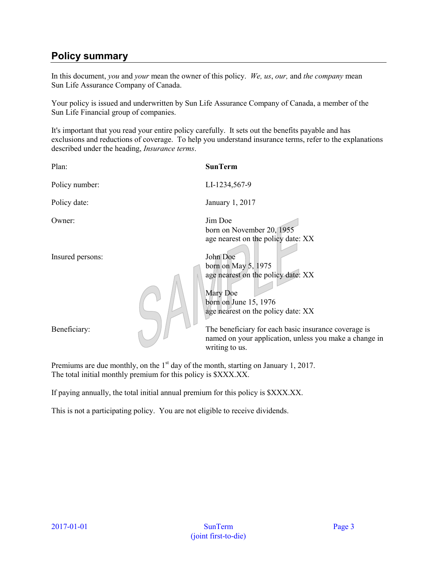### **Policy summary**

In this document, *you* and *your* mean the owner of this policy. *We, us*, *our,* and *the company* mean Sun Life Assurance Company of Canada.

Your policy is issued and underwritten by Sun Life Assurance Company of Canada, a member of the Sun Life Financial group of companies.

It's important that you read your entire policy carefully. It sets out the benefits payable and has exclusions and reductions of coverage. To help you understand insurance terms, refer to the explanations described under the heading, *Insurance terms*.

| Plan:                                                                                                           | <b>SunTerm</b>                                                                                                                                     |
|-----------------------------------------------------------------------------------------------------------------|----------------------------------------------------------------------------------------------------------------------------------------------------|
| Policy number:                                                                                                  | LI-1234,567-9                                                                                                                                      |
| Policy date:                                                                                                    | January 1, 2017                                                                                                                                    |
| Owner:                                                                                                          | Jim Doe<br>born on November 20, 1955<br>age nearest on the policy date: XX                                                                         |
| Insured persons:                                                                                                | John Doe<br>born on May $5, 1975$<br>age nearest on the policy date: XX<br>Mary Doe<br>born on June 15, 1976<br>age nearest on the policy date: XX |
| Beneficiary:                                                                                                    | The beneficiary for each basic insurance coverage is<br>named on your application, unless you make a change in<br>writing to us.                   |
| and the state of the state of the state of the state of the state of the state of the state of the state of the |                                                                                                                                                    |

Premiums are due monthly, on the 1<sup>st</sup> day of the month, starting on January 1, 2017. The total initial monthly premium for this policy is \$XXX.XX.

If paying annually, the total initial annual premium for this policy is \$XXX.XX.

This is not a participating policy. You are not eligible to receive dividends.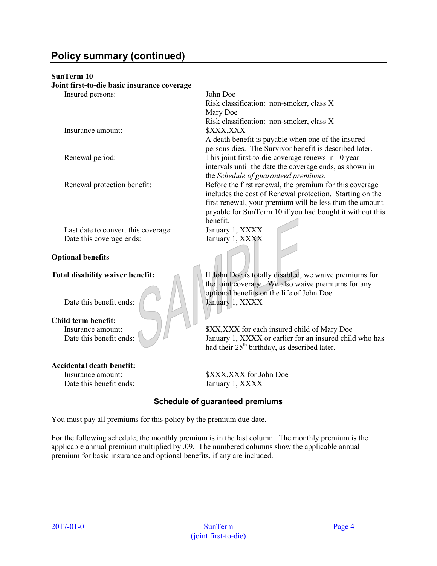### **Policy summary (continued)**

#### **SunTerm 10**

#### **Joint first-to-die basic insurance coverage**

| JOHN HIST-to-the basic misurance coverage |                                                          |
|-------------------------------------------|----------------------------------------------------------|
| Insured persons:                          | John Doe                                                 |
|                                           | Risk classification: non-smoker, class X                 |
|                                           | Mary Doe                                                 |
|                                           | Risk classification: non-smoker, class X                 |
| Insurance amount:                         | \$XXX,XXX                                                |
|                                           | A death benefit is payable when one of the insured       |
|                                           | persons dies. The Survivor benefit is described later.   |
| Renewal period:                           | This joint first-to-die coverage renews in 10 year       |
|                                           | intervals until the date the coverage ends, as shown in  |
|                                           | the Schedule of guaranteed premiums.                     |
| Renewal protection benefit:               | Before the first renewal, the premium for this coverage  |
|                                           | includes the cost of Renewal protection. Starting on the |
|                                           | first renewal, your premium will be less than the amount |
|                                           | payable for SunTerm 10 if you had bought it without this |
|                                           | benefit.                                                 |
| Last date to convert this coverage:       | January 1, XXXX                                          |
| Date this coverage ends:                  | January 1, XXXX                                          |
|                                           |                                                          |
| <b>Optional benefits</b>                  |                                                          |
|                                           |                                                          |
| <b>Total disability waiver benefit:</b>   | If John Doe is totally disabled, we waive premiums for   |

Date this benefit ends:  $\left| \right|$   $\left| \right|$  January 1, XXXX

## **Child term benefit:**

# **Accidental death benefit:**

Date this benefit ends: January 1, XXXX

### Insurance amount:  $\| \cdot \|$  \$XX,XXX for each insured child of Mary Doe Date this benefit ends: January 1, XXXX or earlier for an insured child who has had their  $25<sup>th</sup>$  birthday, as described later.

the joint coverage. We also waive premiums for any

optional benefits on the life of John Doe.

Insurance amount: \$XXX,XXX for John Doe

#### **Schedule of guaranteed premiums**

You must pay all premiums for this policy by the premium due date.

For the following schedule, the monthly premium is in the last column. The monthly premium is the applicable annual premium multiplied by .09. The numbered columns show the applicable annual premium for basic insurance and optional benefits, if any are included.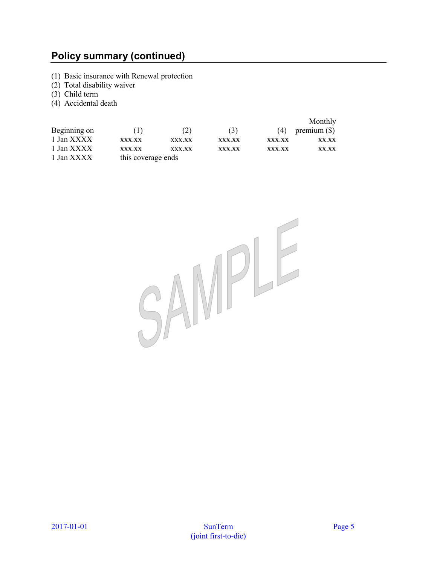### **Policy summary (continued)**

- (1) Basic insurance with Renewal protection
- (2) Total disability waiver
- (3) Child term
- (4) Accidental death

|              |                    |        |        |        | Monthly        |
|--------------|--------------------|--------|--------|--------|----------------|
| Beginning on | (1)                | (2)    | (3)    | (4)    | premium $(\$)$ |
| 1 Jan XXXX   | XXX.XX             | XXX.XX | XXX.XX | XXX.XX | XX.XX          |
| 1 Jan XXXX   | XXX.XX             | XXX.XX | XXX.XX | XXX.XX | XX.XX          |
| 1 Jan XXXX   | this coverage ends |        |        |        |                |

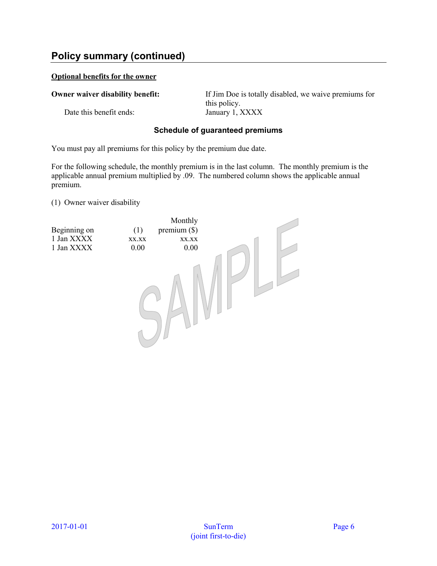### **Policy summary (continued)**

#### **Optional benefits for the owner**

Date this benefit ends: January 1, XXXX

**Owner waiver disability benefit:** If Jim Doe is totally disabled, we waive premiums for this policy.

#### **Schedule of guaranteed premiums**

You must pay all premiums for this policy by the premium due date.

For the following schedule, the monthly premium is in the last column. The monthly premium is the applicable annual premium multiplied by .09. The numbered column shows the applicable annual premium.

(1) Owner waiver disability

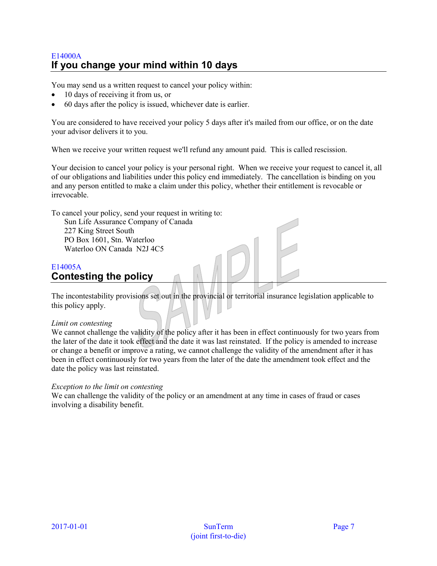### E14000A **If you change your mind within 10 days**

You may send us a written request to cancel your policy within:

- 10 days of receiving it from us, or
- 60 days after the policy is issued, whichever date is earlier.

You are considered to have received your policy 5 days after it's mailed from our office, or on the date your advisor delivers it to you.

When we receive your written request we'll refund any amount paid. This is called rescission.

Your decision to cancel your policy is your personal right. When we receive your request to cancel it, all of our obligations and liabilities under this policy end immediately. The cancellation is binding on you and any person entitled to make a claim under this policy, whether their entitlement is revocable or irrevocable.

To cancel your policy, send your request in writing to:

Sun Life Assurance Company of Canada 227 King Street South PO Box 1601, Stn. Waterloo Waterloo ON Canada N2J 4C5

### E14005A **Contesting the policy**

The incontestability provisions set out in the provincial or territorial insurance legislation applicable to this policy apply.

#### *Limit on contesting*

We cannot challenge the validity of the policy after it has been in effect continuously for two years from the later of the date it took effect and the date it was last reinstated. If the policy is amended to increase or change a benefit or improve a rating, we cannot challenge the validity of the amendment after it has been in effect continuously for two years from the later of the date the amendment took effect and the date the policy was last reinstated.

#### *Exception to the limit on contesting*

We can challenge the validity of the policy or an amendment at any time in cases of fraud or cases involving a disability benefit.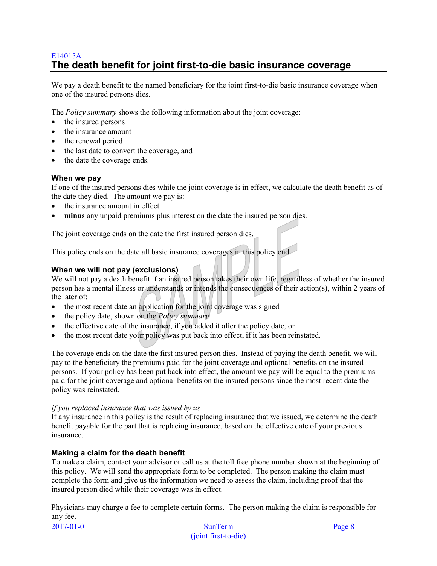### E14015A **The death benefit for joint first-to-die basic insurance coverage**

We pay a death benefit to the named beneficiary for the joint first-to-die basic insurance coverage when one of the insured persons dies.

The *Policy summary* shows the following information about the joint coverage:

- the insured persons
- the insurance amount
- the renewal period
- the last date to convert the coverage, and
- the date the coverage ends.

#### **When we pay**

If one of the insured persons dies while the joint coverage is in effect, we calculate the death benefit as of the date they died. The amount we pay is:

- the insurance amount in effect
- **minus** any unpaid premiums plus interest on the date the insured person dies.

The joint coverage ends on the date the first insured person dies.

This policy ends on the date all basic insurance coverages in this policy end.

#### **When we will not pay (exclusions)**

We will not pay a death benefit if an insured person takes their own life, regardless of whether the insured person has a mental illness or understands or intends the consequences of their action(s), within 2 years of the later of:

- the most recent date an application for the joint coverage was signed
- the policy date, shown on the *Policy summary*
- the effective date of the insurance, if you added it after the policy date, or
- the most recent date your policy was put back into effect, if it has been reinstated.

The coverage ends on the date the first insured person dies. Instead of paying the death benefit, we will pay to the beneficiary the premiums paid for the joint coverage and optional benefits on the insured persons. If your policy has been put back into effect, the amount we pay will be equal to the premiums paid for the joint coverage and optional benefits on the insured persons since the most recent date the policy was reinstated.

#### *If you replaced insurance that was issued by us*

If any insurance in this policy is the result of replacing insurance that we issued, we determine the death benefit payable for the part that is replacing insurance, based on the effective date of your previous insurance.

#### **Making a claim for the death benefit**

To make a claim, contact your advisor or call us at the toll free phone number shown at the beginning of this policy. We will send the appropriate form to be completed. The person making the claim must complete the form and give us the information we need to assess the claim, including proof that the insured person died while their coverage was in effect.

Physicians may charge a fee to complete certain forms. The person making the claim is responsible for any fee.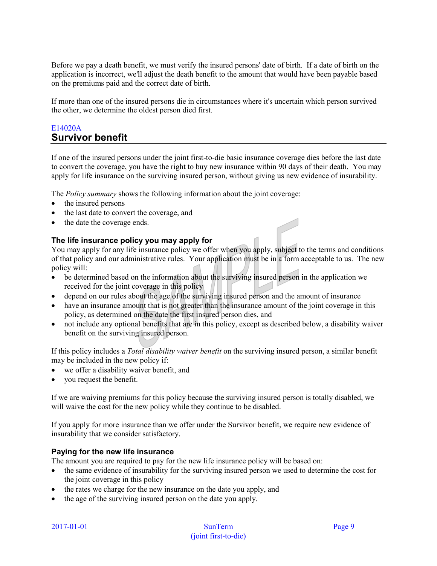Before we pay a death benefit, we must verify the insured persons' date of birth. If a date of birth on the application is incorrect, we'll adjust the death benefit to the amount that would have been payable based on the premiums paid and the correct date of birth.

If more than one of the insured persons die in circumstances where it's uncertain which person survived the other, we determine the oldest person died first.

#### E14020A **Survivor benefit**

If one of the insured persons under the joint first-to-die basic insurance coverage dies before the last date to convert the coverage, you have the right to buy new insurance within 90 days of their death. You may apply for life insurance on the surviving insured person, without giving us new evidence of insurability.

The *Policy summary* shows the following information about the joint coverage:

- the insured persons
- the last date to convert the coverage, and
- the date the coverage ends.

#### **The life insurance policy you may apply for**

You may apply for any life insurance policy we offer when you apply, subject to the terms and conditions of that policy and our administrative rules. Your application must be in a form acceptable to us. The new policy will:

- be determined based on the information about the surviving insured person in the application we received for the joint coverage in this policy
- depend on our rules about the age of the surviving insured person and the amount of insurance
- have an insurance amount that is not greater than the insurance amount of the joint coverage in this policy, as determined on the date the first insured person dies, and
- not include any optional benefits that are in this policy, except as described below, a disability waiver benefit on the surviving insured person.

If this policy includes a *Total disability waiver benefit* on the surviving insured person, a similar benefit may be included in the new policy if:

- we offer a disability waiver benefit, and
- you request the benefit.

If we are waiving premiums for this policy because the surviving insured person is totally disabled, we will waive the cost for the new policy while they continue to be disabled.

If you apply for more insurance than we offer under the Survivor benefit, we require new evidence of insurability that we consider satisfactory.

#### **Paying for the new life insurance**

The amount you are required to pay for the new life insurance policy will be based on:

- the same evidence of insurability for the surviving insured person we used to determine the cost for the joint coverage in this policy
- the rates we charge for the new insurance on the date you apply, and
- the age of the surviving insured person on the date you apply.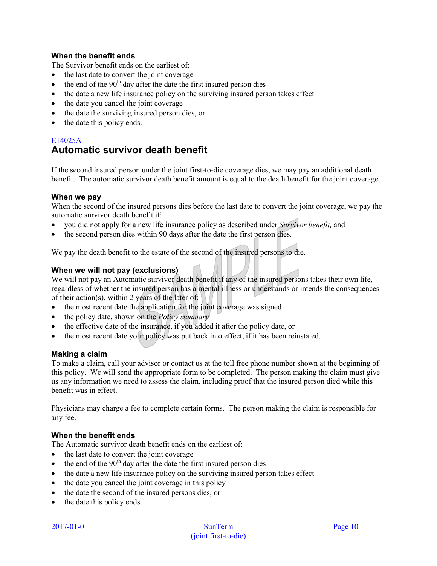#### **When the benefit ends**

The Survivor benefit ends on the earliest of:

- the last date to convert the joint coverage
- $\bullet$  the end of the 90<sup>th</sup> day after the date the first insured person dies
- the date a new life insurance policy on the surviving insured person takes effect
- the date you cancel the joint coverage
- the date the surviving insured person dies, or
- the date this policy ends.

### E14025A **Automatic survivor death benefit**

If the second insured person under the joint first-to-die coverage dies, we may pay an additional death benefit. The automatic survivor death benefit amount is equal to the death benefit for the joint coverage.

#### **When we pay**

When the second of the insured persons dies before the last date to convert the joint coverage, we pay the automatic survivor death benefit if:

- you did not apply for a new life insurance policy as described under *Survivor benefit,* and
- the second person dies within 90 days after the date the first person dies.

We pay the death benefit to the estate of the second of the insured persons to die.

#### **When we will not pay (exclusions)**

We will not pay an Automatic survivor death benefit if any of the insured persons takes their own life, regardless of whether the insured person has a mental illness or understands or intends the consequences of their action(s), within 2 years of the later of:

- the most recent date the application for the joint coverage was signed
- the policy date, shown on the *Policy summary*
- the effective date of the insurance, if you added it after the policy date, or
- the most recent date your policy was put back into effect, if it has been reinstated.

#### **Making a claim**

To make a claim, call your advisor or contact us at the toll free phone number shown at the beginning of this policy. We will send the appropriate form to be completed. The person making the claim must give us any information we need to assess the claim, including proof that the insured person died while this benefit was in effect.

Physicians may charge a fee to complete certain forms. The person making the claim is responsible for any fee.

#### **When the benefit ends**

The Automatic survivor death benefit ends on the earliest of:

- the last date to convert the joint coverage
- $\bullet$  the end of the 90<sup>th</sup> day after the date the first insured person dies
- the date a new life insurance policy on the surviving insured person takes effect
- the date you cancel the joint coverage in this policy
- the date the second of the insured persons dies, or
- the date this policy ends.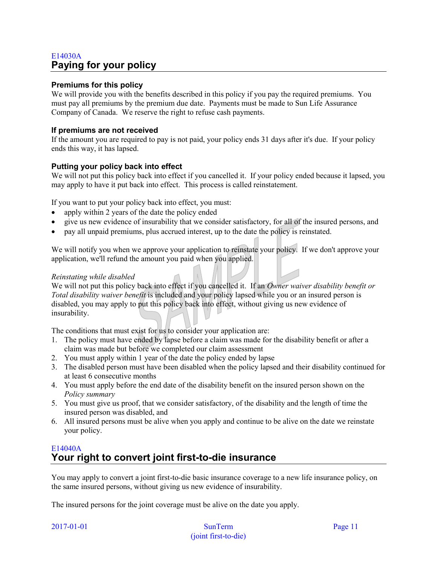### E14030A **Paying for your policy**

#### **Premiums for this policy**

We will provide you with the benefits described in this policy if you pay the required premiums. You must pay all premiums by the premium due date. Payments must be made to Sun Life Assurance Company of Canada. We reserve the right to refuse cash payments.

#### **If premiums are not received**

If the amount you are required to pay is not paid, your policy ends 31 days after it's due. If your policy ends this way, it has lapsed.

#### **Putting your policy back into effect**

We will not put this policy back into effect if you cancelled it. If your policy ended because it lapsed, you may apply to have it put back into effect. This process is called reinstatement.

If you want to put your policy back into effect, you must:

- apply within 2 years of the date the policy ended
- give us new evidence of insurability that we consider satisfactory, for all of the insured persons, and
- pay all unpaid premiums, plus accrued interest, up to the date the policy is reinstated.

We will notify you when we approve your application to reinstate your policy. If we don't approve your application, we'll refund the amount you paid when you applied.

#### *Reinstating while disabled*

We will not put this policy back into effect if you cancelled it. If an *Owner waiver disability benefit or Total disability waiver benefit* is included and your policy lapsed while you or an insured person is disabled, you may apply to put this policy back into effect, without giving us new evidence of insurability.

The conditions that must exist for us to consider your application are:

- 1. The policy must have ended by lapse before a claim was made for the disability benefit or after a claim was made but before we completed our claim assessment
- 2. You must apply within 1 year of the date the policy ended by lapse
- 3. The disabled person must have been disabled when the policy lapsed and their disability continued for at least 6 consecutive months
- 4. You must apply before the end date of the disability benefit on the insured person shown on the *Policy summary*
- 5. You must give us proof, that we consider satisfactory, of the disability and the length of time the insured person was disabled, and
- 6. All insured persons must be alive when you apply and continue to be alive on the date we reinstate your policy.

#### E14040A **Your right to convert joint first-to-die insurance**

You may apply to convert a joint first-to-die basic insurance coverage to a new life insurance policy, on the same insured persons, without giving us new evidence of insurability.

The insured persons for the joint coverage must be alive on the date you apply.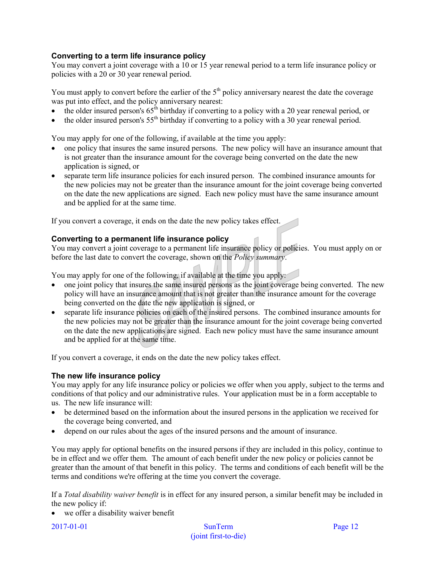#### **Converting to a term life insurance policy**

You may convert a joint coverage with a 10 or 15 year renewal period to a term life insurance policy or policies with a 20 or 30 year renewal period.

You must apply to convert before the earlier of the 5<sup>th</sup> policy anniversary nearest the date the coverage was put into effect, and the policy anniversary nearest:

- $\bullet$  the older insured person's 65<sup>th</sup> birthday if converting to a policy with a 20 year renewal period, or
- the older insured person's  $55<sup>th</sup>$  birthday if converting to a policy with a 30 year renewal period.

You may apply for one of the following, if available at the time you apply:

- one policy that insures the same insured persons. The new policy will have an insurance amount that is not greater than the insurance amount for the coverage being converted on the date the new application is signed, or
- separate term life insurance policies for each insured person. The combined insurance amounts for the new policies may not be greater than the insurance amount for the joint coverage being converted on the date the new applications are signed. Each new policy must have the same insurance amount and be applied for at the same time.

If you convert a coverage, it ends on the date the new policy takes effect.

#### **Converting to a permanent life insurance policy**

You may convert a joint coverage to a permanent life insurance policy or policies. You must apply on or before the last date to convert the coverage, shown on the *Policy summary*.

You may apply for one of the following, if available at the time you apply:

- one joint policy that insures the same insured persons as the joint coverage being converted. The new policy will have an insurance amount that is not greater than the insurance amount for the coverage being converted on the date the new application is signed, or
- separate life insurance policies on each of the insured persons. The combined insurance amounts for the new policies may not be greater than the insurance amount for the joint coverage being converted on the date the new applications are signed. Each new policy must have the same insurance amount and be applied for at the same time.

If you convert a coverage, it ends on the date the new policy takes effect.

#### **The new life insurance policy**

You may apply for any life insurance policy or policies we offer when you apply, subject to the terms and conditions of that policy and our administrative rules. Your application must be in a form acceptable to us. The new life insurance will:

- be determined based on the information about the insured persons in the application we received for the coverage being converted, and
- depend on our rules about the ages of the insured persons and the amount of insurance.

You may apply for optional benefits on the insured persons if they are included in this policy, continue to be in effect and we offer them. The amount of each benefit under the new policy or policies cannot be greater than the amount of that benefit in this policy. The terms and conditions of each benefit will be the terms and conditions we're offering at the time you convert the coverage.

If a *Total disability waiver benefit* is in effect for any insured person, a similar benefit may be included in the new policy if:

we offer a disability waiver benefit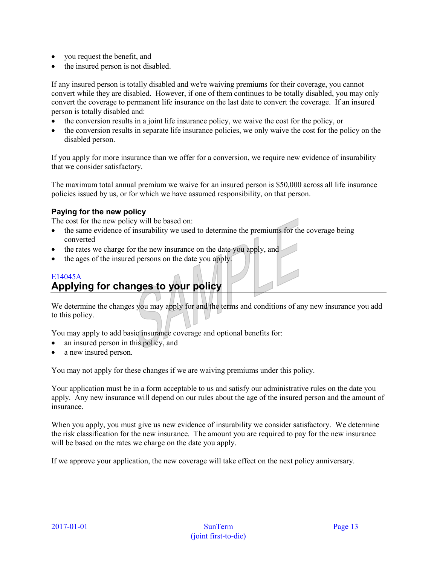- you request the benefit, and
- the insured person is not disabled.

If any insured person is totally disabled and we're waiving premiums for their coverage, you cannot convert while they are disabled. However, if one of them continues to be totally disabled, you may only convert the coverage to permanent life insurance on the last date to convert the coverage. If an insured person is totally disabled and:

- the conversion results in a joint life insurance policy, we waive the cost for the policy, or
- the conversion results in separate life insurance policies, we only waive the cost for the policy on the disabled person.

If you apply for more insurance than we offer for a conversion, we require new evidence of insurability that we consider satisfactory.

The maximum total annual premium we waive for an insured person is \$50,000 across all life insurance policies issued by us, or for which we have assumed responsibility, on that person.

#### **Paying for the new policy**

The cost for the new policy will be based on:

- the same evidence of insurability we used to determine the premiums for the coverage being converted
- the rates we charge for the new insurance on the date you apply, and
- the ages of the insured persons on the date you apply.

### E14045A **Applying for changes to your policy**

We determine the changes you may apply for and the terms and conditions of any new insurance you add to this policy.

You may apply to add basic insurance coverage and optional benefits for:

- an insured person in this policy, and
- a new insured person.

You may not apply for these changes if we are waiving premiums under this policy.

Your application must be in a form acceptable to us and satisfy our administrative rules on the date you apply. Any new insurance will depend on our rules about the age of the insured person and the amount of insurance.

When you apply, you must give us new evidence of insurability we consider satisfactory. We determine the risk classification for the new insurance. The amount you are required to pay for the new insurance will be based on the rates we charge on the date you apply.

If we approve your application, the new coverage will take effect on the next policy anniversary.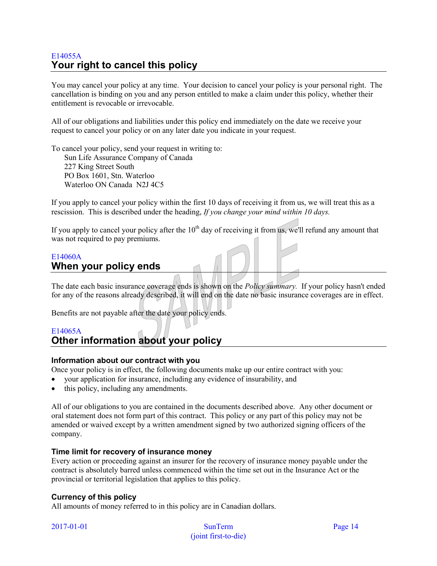### E14055A **Your right to cancel this policy**

You may cancel your policy at any time. Your decision to cancel your policy is your personal right. The cancellation is binding on you and any person entitled to make a claim under this policy, whether their entitlement is revocable or irrevocable.

All of our obligations and liabilities under this policy end immediately on the date we receive your request to cancel your policy or on any later date you indicate in your request.

To cancel your policy, send your request in writing to: Sun Life Assurance Company of Canada 227 King Street South PO Box 1601, Stn. Waterloo Waterloo ON Canada N2J 4C5

If you apply to cancel your policy within the first 10 days of receiving it from us, we will treat this as a rescission. This is described under the heading, *If you change your mind within 10 days.*

If you apply to cancel your policy after the  $10<sup>th</sup>$  day of receiving it from us, we'll refund any amount that was not required to pay premiums.

#### E14060A **When your policy ends**

The date each basic insurance coverage ends is shown on the *Policy summary.* If your policy hasn't ended for any of the reasons already described, it will end on the date no basic insurance coverages are in effect.

Benefits are not payable after the date your policy ends.

#### E14065A

### **Other information about your policy**

#### **Information about our contract with you**

Once your policy is in effect, the following documents make up our entire contract with you:

- your application for insurance, including any evidence of insurability, and
- this policy, including any amendments.

All of our obligations to you are contained in the documents described above. Any other document or oral statement does not form part of this contract. This policy or any part of this policy may not be amended or waived except by a written amendment signed by two authorized signing officers of the company.

#### **Time limit for recovery of insurance money**

Every action or proceeding against an insurer for the recovery of insurance money payable under the contract is absolutely barred unless commenced within the time set out in the Insurance Act or the provincial or territorial legislation that applies to this policy.

#### **Currency of this policy**

All amounts of money referred to in this policy are in Canadian dollars.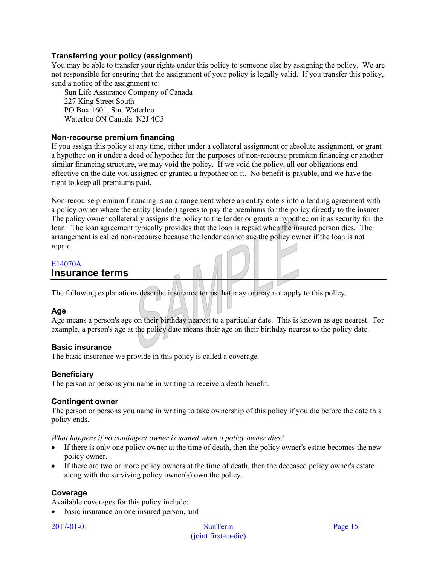#### **Transferring your policy (assignment)**

You may be able to transfer your rights under this policy to someone else by assigning the policy. We are not responsible for ensuring that the assignment of your policy is legally valid. If you transfer this policy, send a notice of the assignment to:

Sun Life Assurance Company of Canada 227 King Street South PO Box 1601, Stn. Waterloo Waterloo ON Canada N2J 4C5

#### **Non-recourse premium financing**

If you assign this policy at any time, either under a collateral assignment or absolute assignment, or grant a hypothec on it under a deed of hypothec for the purposes of non-recourse premium financing or another similar financing structure, we may void the policy. If we void the policy, all our obligations end effective on the date you assigned or granted a hypothec on it. No benefit is payable, and we have the right to keep all premiums paid.

Non-recourse premium financing is an arrangement where an entity enters into a lending agreement with a policy owner where the entity (lender) agrees to pay the premiums for the policy directly to the insurer. The policy owner collaterally assigns the policy to the lender or grants a hypothec on it as security for the loan. The loan agreement typically provides that the loan is repaid when the insured person dies. The arrangement is called non-recourse because the lender cannot sue the policy owner if the loan is not repaid.

#### E14070A **Insurance terms**

The following explanations describe insurance terms that may or may not apply to this policy.

#### **Age**

Age means a person's age on their birthday nearest to a particular date. This is known as age nearest. For example, a person's age at the policy date means their age on their birthday nearest to the policy date.

#### **Basic insurance**

The basic insurance we provide in this policy is called a coverage.

#### **Beneficiary**

The person or persons you name in writing to receive a death benefit.

#### **Contingent owner**

The person or persons you name in writing to take ownership of this policy if you die before the date this policy ends.

*What happens if no contingent owner is named when a policy owner dies?*

- If there is only one policy owner at the time of death, then the policy owner's estate becomes the new policy owner.
- If there are two or more policy owners at the time of death, then the deceased policy owner's estate along with the surviving policy owner(s) own the policy.

#### **Coverage**

Available coverages for this policy include:

• basic insurance on one insured person, and